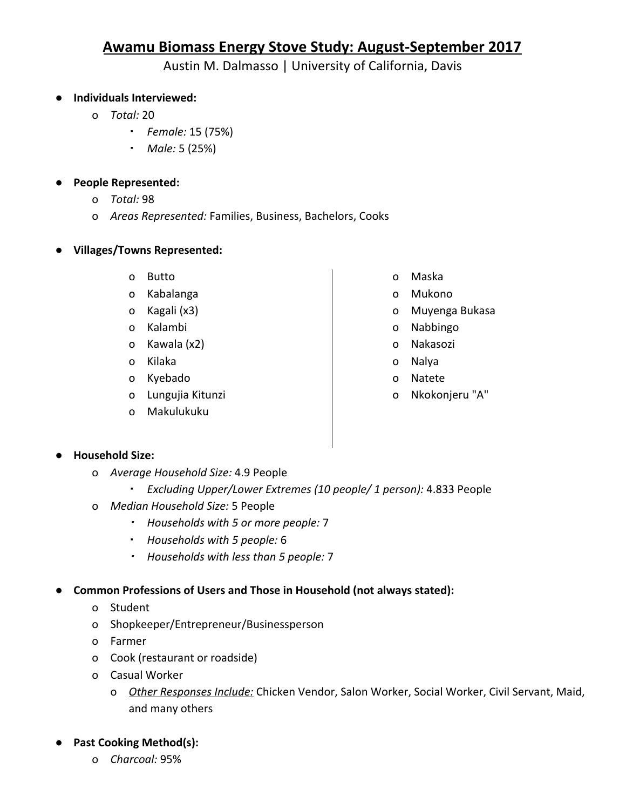# **Awamu Biomass Energy Stove Study: August-September 2017**

Austin M. Dalmasso | University of California, Davis

## ● **Individuals Interviewed:**

- o *Total:* 20
	- *Female:* 15 (75%)
	- *Male:* 5 (25%)

#### ● **People Represented:**

- o *Total:* 98
- o *Areas Represented:* Families, Business, Bachelors, Cooks
- **● Villages/Towns Represented:**
	- o Butto
	- o Kabalanga
	- o Kagali (x3)
	- o Kalambi
	- o Kawala (x2)
	- o Kilaka
	- o Kyebado
	- o Lungujia Kitunzi
	- o Makulukuku
- o Maska
- o Mukono
- o Muyenga Bukasa
- o Nabbingo
- o Nakasozi
- o Nalya
- o Natete
- o Nkokonjeru "A"

#### ● **Household Size:**

- o *Average Household Size:* 4.9 People
	- *Excluding Upper/Lower Extremes (10 people/ 1 person):* 4.833 People
- o *Median Household Size:* 5 People
	- *Households with 5 or more people:* 7
	- *Households with 5 people:* 6
	- *Households with less than 5 people:* 7

#### **● Common Professions of Users and Those in Household (not always stated):**

- o Student
- o Shopkeeper/Entrepreneur/Businessperson
- o Farmer
- o Cook (restaurant or roadside)
- o Casual Worker
	- o *Other Responses Include:* Chicken Vendor, Salon Worker, Social Worker, Civil Servant, Maid, and many others

## **● Past Cooking Method(s):**

o *Charcoal:* 95%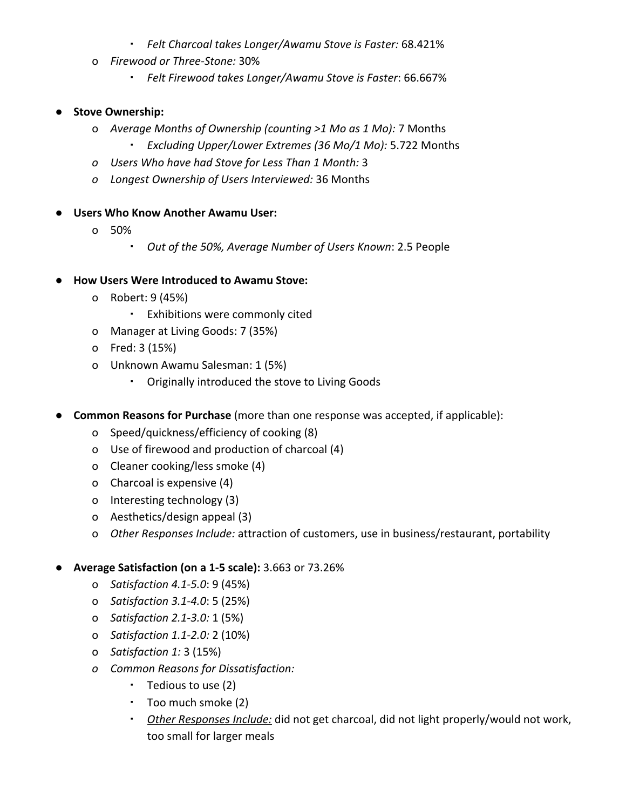- *Felt Charcoal takes Longer/Awamu Stove is Faster:* 68.421%
- o *Firewood or Three-Stone:* 30%
	- *Felt Firewood takes Longer/Awamu Stove is Faster*: 66.667%

### ● **Stove Ownership:**

- o *Average Months of Ownership (counting >1 Mo as 1 Mo):* 7 Months
	- *Excluding Upper/Lower Extremes (36 Mo/1 Mo):* 5.722 Months
- *o Users Who have had Stove for Less Than 1 Month:* 3
- *o Longest Ownership of Users Interviewed:* 36 Months
- **Users Who Know Another Awamu User:**
	- o 50%
		- *Out of the 50%, Average Number of Users Known*: 2.5 People
- **● How Users Were Introduced to Awamu Stove:**
	- o Robert: 9 (45%)
		- Exhibitions were commonly cited
	- o Manager at Living Goods: 7 (35%)
	- o Fred: 3 (15%)
	- o Unknown Awamu Salesman: 1 (5%)
		- Originally introduced the stove to Living Goods
- **Common Reasons for Purchase** (more than one response was accepted, if applicable):
	- o Speed/quickness/efficiency of cooking (8)
	- o Use of firewood and production of charcoal (4)
	- o Cleaner cooking/less smoke (4)
	- o Charcoal is expensive (4)
	- o Interesting technology (3)
	- o Aesthetics/design appeal (3)
	- o *Other Responses Include:* attraction of customers, use in business/restaurant, portability

#### ● **Average Satisfaction (on a 1-5 scale):** 3.663 or 73.26%

- o *Satisfaction 4.1-5.0*: 9 (45%)
- o *Satisfaction 3.1-4.0*: 5 (25%)
- o *Satisfaction 2.1-3.0:* 1 (5%)
- o *Satisfaction 1.1-2.0:* 2 (10%)
- o *Satisfaction 1:* 3 (15%)
- *o Common Reasons for Dissatisfaction:*
	- Tedious to use (2)
	- Too much smoke (2)
	- *Other Responses Include:* did not get charcoal, did not light properly/would not work, too small for larger meals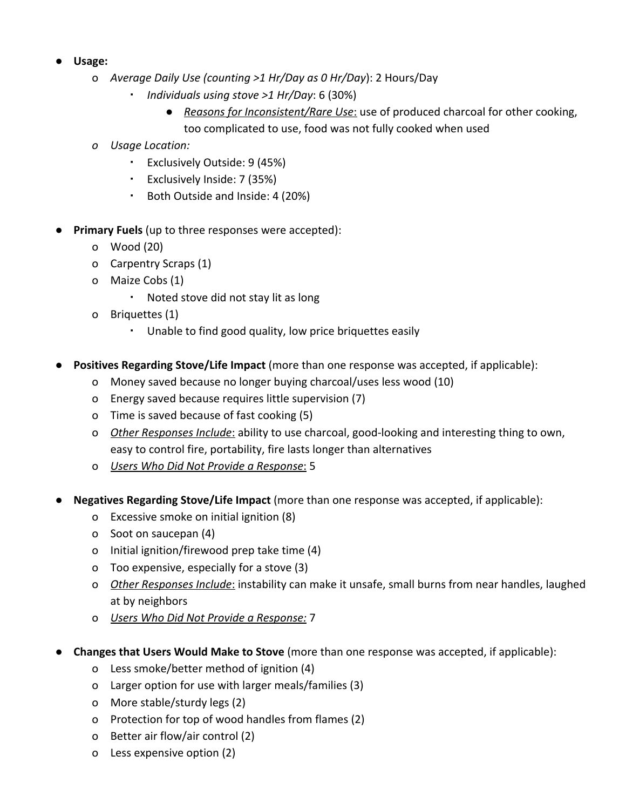- **● Usage:**
	- o *Average Daily Use (counting >1 Hr/Day as 0 Hr/Day*): 2 Hours/Day
		- *Individuals using stove >1 Hr/Day*: 6 (30%)
			- *Reasons for Inconsistent/Rare Use*: use of produced charcoal for other cooking, too complicated to use, food was not fully cooked when used
	- *o Usage Location:*
		- Exclusively Outside: 9 (45%)
		- Exclusively Inside: 7 (35%)
		- Both Outside and Inside: 4 (20%)
- **Primary Fuels** (up to three responses were accepted):
	- o Wood (20)
	- o Carpentry Scraps (1)
	- o Maize Cobs (1)
		- Noted stove did not stay lit as long
	- o Briquettes (1)
		- Unable to find good quality, low price briquettes easily
- Positives Regarding Stove/Life Impact (more than one response was accepted, if applicable):
	- o Money saved because no longer buying charcoal/uses less wood (10)
	- o Energy saved because requires little supervision (7)
	- o Time is saved because of fast cooking (5)
	- o *Other Responses Include*: ability to use charcoal, good-looking and interesting thing to own, easy to control fire, portability, fire lasts longer than alternatives
	- o *Users Who Did Not Provide a Response*: 5
- **Negatives Regarding Stove/Life Impact** (more than one response was accepted, if applicable):
	- o Excessive smoke on initial ignition (8)
	- o Soot on saucepan (4)
	- o Initial ignition/firewood prep take time (4)
	- o Too expensive, especially for a stove (3)
	- o *Other Responses Include*: instability can make it unsafe, small burns from near handles, laughed at by neighbors
	- o *Users Who Did Not Provide a Response:* 7
- **Changes that Users Would Make to Stove** (more than one response was accepted, if applicable):
	- o Less smoke/better method of ignition (4)
	- o Larger option for use with larger meals/families (3)
	- o More stable/sturdy legs (2)
	- o Protection for top of wood handles from flames (2)
	- o Better air flow/air control (2)
	- o Less expensive option (2)